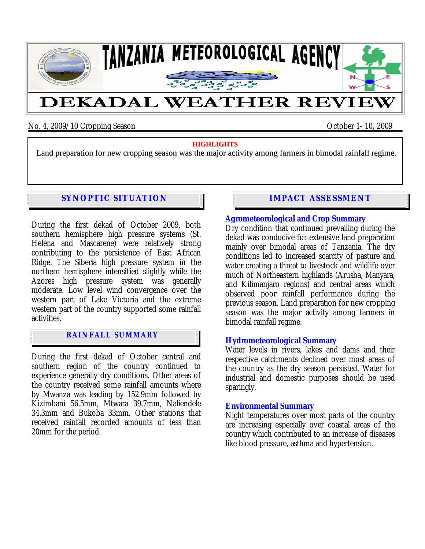

No. 4, 2009/10 Cropping Season October 1- 10**,** 2009

**HIGHLIGHTS** Land preparation for new cropping season was the major activity among farmers in bimodal rainfall regime.

# **SYNOPTIC SITUATION**

During the first dekad of October 2009, both southern hemisphere high pressure systems (St. Helena and Mascarene) were relatively strong contributing to the persistence of East African Ridge. The Siberia high pressure system in the northern hemisphere intensified slightly while the Azores high pressure system was generally moderate. Low level wind convergence over the western part of Lake Victoria and the extreme western part of the country supported some rainfall activities.

## **RAINFALL SUMMARY**

During the first dekad of October central and southern region of the country continued to experience generally dry conditions. Other areas of the country received some rainfall amounts where by Mwanza was leading by 152.9mm followed by Kizimbani 56.5mm, Mtwara 39.7mm, Naliendele 34.3mm and Bukoba 33mm. Other stations that received rainfall recorded amounts of less than 20mm for the period.

## **IMPACT ASSESSMENT**

#### **Agrometeorological and Crop Summary**

Dry condition that continued prevailing during the dekad was conducive for extensive land preparation mainly over bimodal areas of Tanzania. The dry conditions led to increased scarcity of pasture and water creating a threat to livestock and wildlife over much of Northeastern highlands (Arusha, Manyara, and Kilimanjaro regions) and central areas which observed poor rainfall performance during the previous season. Land preparation for new cropping season was the major activity among farmers in bimodal rainfall regime.

#### **Hydrometeorological Summary**

Water levels in rivers, lakes and dams and their respective catchments declined over most areas of the country as the dry season persisted. Water for industrial and domestic purposes should be used sparingly.

#### **Environmental Summary**

Night temperatures over most parts of the country are increasing especially over coastal areas of the country which contributed to an increase of diseases like blood pressure, asthma and hypertension.